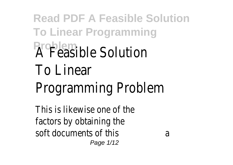## **Read PDF A Feasible Solution To Linear Programming** *Problem* as *A* Feasible Solution To Linear Programming Problem

This is likewise one of the factors by obtaining the soft documents of this a Page 1/12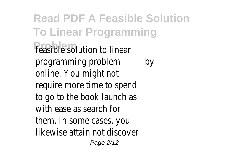**Read PDF A Feasible Solution To Linear Programming Feasible** solution to linear programming problem by online. You might not require more time to spend to go to the book launch as with ease as search for them. In some cases, you likewise attain not discover Page 2/12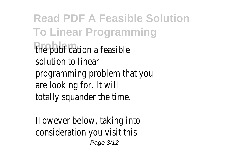**Read PDF A Feasible Solution To Linear Programming The publication a feasible** solution to linear programming problem that you are looking for. It will totally squander the time.

However below, taking into consideration you visit this Page 3/12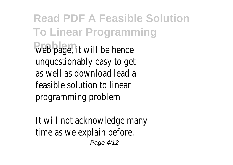**Read PDF A Feasible Solution To Linear Programming Web** page, it will be hence unquestionably easy to get as well as download lead a feasible solution to linear programming problem

It will not acknowledge many time as we explain before. Page 4/12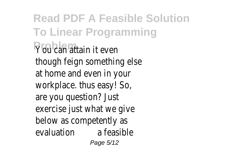**Read PDF A Feasible Solution To Linear Programming Propression** attain it even though feign something else at home and even in your workplace. thus easy! So, are you question? Just exercise just what we give below as competently as evaluation a feasible Page 5/12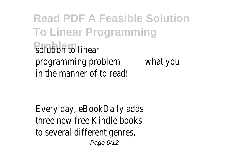**Read PDF A Feasible Solution To Linear Programming Problem** to linear programming problem what you in the manner of to read!

Every day, eBookDaily adds three new free Kindle books to several different genres, Page 6/12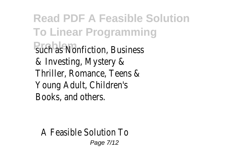**Read PDF A Feasible Solution To Linear Programming PSUCH as Nonfiction, Business** & Investing, Mystery & Thriller, Romance, Teens & Young Adult, Children's Books, and others.

## A Feasible Solution To Page 7/12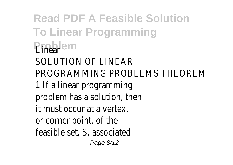**Read PDF A Feasible Solution To Linear Programming Problem** SOLUTION OF LINEAR PROGRAMMING PROBLEMS THEOREM 1 If a linear programming problem has a solution, then it must occur at a vertex, or corner point, of the feasible set, S, associated Page 8/12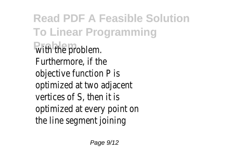**Read PDF A Feasible Solution To Linear Programming With the problem.** Furthermore, if the objective function P is optimized at two adjacent vertices of S, then it is optimized at every point on the line segment joining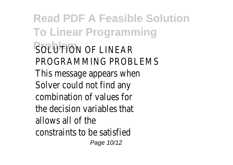**Read PDF A Feasible Solution To Linear Programming BOLUTION OF LINEAR** PROGRAMMING PROBLEMS This message appears when Solver could not find any combination of values for the decision variables that allows all of the constraints to be satisfied Page 10/12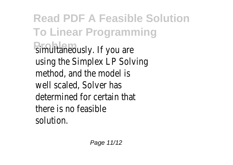**Read PDF A Feasible Solution To Linear Programming Simultaneously.** If you are using the Simplex LP Solving method, and the model is well scaled, Solver has determined for certain that there is no feasible solution.